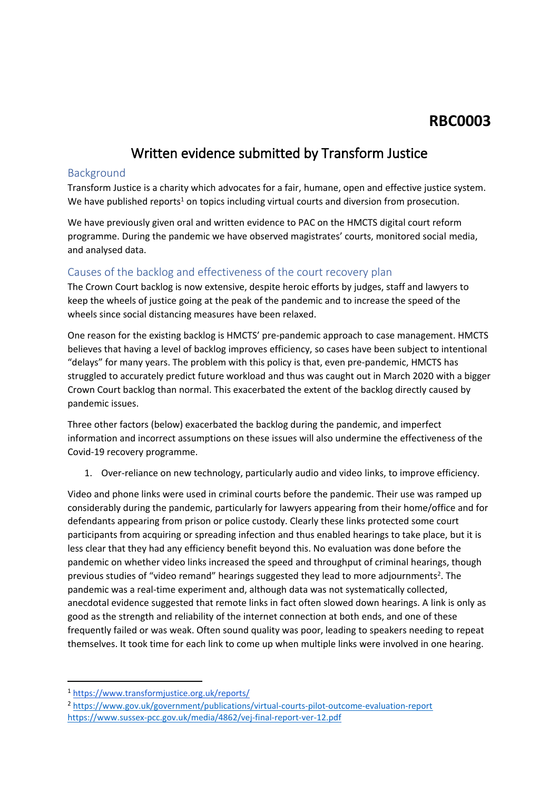# **RBC0003**

# **Written evidence submitted by Transform Justice**

#### Background

Transform Justice is a charity which advocates for a fair, humane, open and effective justice system. We have published reports<sup>1</sup> on topics including virtual courts and diversion from prosecution.

We have previously given oral and written evidence to PAC on the HMCTS digital court reform programme. During the pandemic we have observed magistrates' courts, monitored social media, and analysed data.

### Causes of the backlog and effectiveness of the court recovery plan

The Crown Court backlog is now extensive, despite heroic efforts by judges, staff and lawyers to keep the wheels of justice going at the peak of the pandemic and to increase the speed of the wheels since social distancing measures have been relaxed.

One reason for the existing backlog is HMCTS' pre-pandemic approach to case management. HMCTS believes that having a level of backlog improves efficiency, so cases have been subject to intentional "delays" for many years. The problem with this policy is that, even pre-pandemic, HMCTS has struggled to accurately predict future workload and thus was caught out in March 2020 with a bigger Crown Court backlog than normal. This exacerbated the extent of the backlog directly caused by pandemic issues.

Three other factors (below) exacerbated the backlog during the pandemic, and imperfect information and incorrect assumptions on these issues will also undermine the effectiveness of the Covid-19 recovery programme.

1. Over-reliance on new technology, particularly audio and video links, to improve efficiency.

Video and phone links were used in criminal courts before the pandemic. Their use was ramped up considerably during the pandemic, particularly for lawyers appearing from their home/office and for defendants appearing from prison or police custody. Clearly these links protected some court participants from acquiring or spreading infection and thus enabled hearings to take place, but it is less clear that they had any efficiency benefit beyond this. No evaluation was done before the pandemic on whether video links increased the speed and throughput of criminal hearings, though previous studies of "video remand" hearings suggested they lead to more adjournments<sup>2</sup>. The pandemic was a real-time experiment and, although data was not systematically collected, anecdotal evidence suggested that remote links in fact often slowed down hearings. A link is only as good as the strength and reliability of the internet connection at both ends, and one of these frequently failed or was weak. Often sound quality was poor, leading to speakers needing to repeat themselves. It took time for each link to come up when multiple links were involved in one hearing.

<sup>1</sup> <https://www.transformjustice.org.uk/reports/>

<sup>2</sup> <https://www.gov.uk/government/publications/virtual-courts-pilot-outcome-evaluation-report> <https://www.sussex-pcc.gov.uk/media/4862/vej-final-report-ver-12.pdf>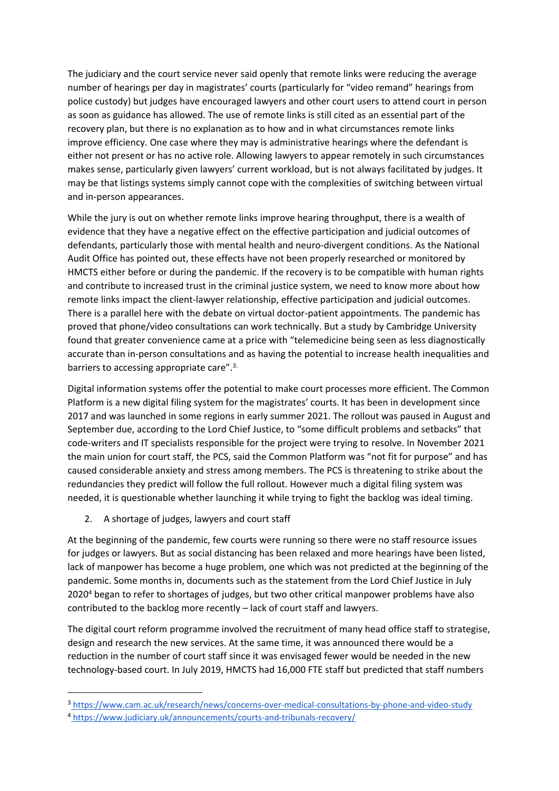The judiciary and the court service never said openly that remote links were reducing the average number of hearings per day in magistrates' courts (particularly for "video remand" hearings from police custody) but judges have encouraged lawyers and other court users to attend court in person as soon as guidance has allowed. The use of remote links is still cited as an essential part of the recovery plan, but there is no explanation as to how and in what circumstances remote links improve efficiency. One case where they may is administrative hearings where the defendant is either not present or has no active role. Allowing lawyers to appear remotely in such circumstances makes sense, particularly given lawyers' current workload, but is not always facilitated by judges. It may be that listings systems simply cannot cope with the complexities of switching between virtual and in-person appearances.

While the jury is out on whether remote links improve hearing throughput, there is a wealth of evidence that they have a negative effect on the effective participation and judicial outcomes of defendants, particularly those with mental health and neuro-divergent conditions. As the National Audit Office has pointed out, these effects have not been properly researched or monitored by HMCTS either before or during the pandemic. If the recovery is to be compatible with human rights and contribute to increased trust in the criminal justice system, we need to know more about how remote links impact the client-lawyer relationship, effective participation and judicial outcomes. There is a parallel here with the debate on virtual doctor-patient appointments. The pandemic has proved that phone/video consultations can work technically. But a study by Cambridge University found that greater convenience came at a price with "telemedicine being seen as less diagnostically accurate than in-person consultations and as having the potential to increase health inequalities and barriers to accessing appropriate care".3.

Digital information systems offer the potential to make court processes more efficient. The Common Platform is a new digital filing system for the magistrates' courts. It has been in development since 2017 and was launched in some regions in early summer 2021. The rollout was paused in August and September due, according to the Lord Chief Justice, to "some difficult problems and setbacks" that code-writers and IT specialists responsible for the project were trying to resolve. In November 2021 the main union for court staff, the PCS, said the Common Platform was "not fit for purpose" and has caused considerable anxiety and stress among members. The PCS is threatening to strike about the redundancies they predict will follow the full rollout. However much a digital filing system was needed, it is questionable whether launching it while trying to fight the backlog was ideal timing.

2. A shortage of judges, lawyers and court staff

At the beginning of the pandemic, few courts were running so there were no staff resource issues for judges or lawyers. But as social distancing has been relaxed and more hearings have been listed, lack of manpower has become a huge problem, one which was not predicted at the beginning of the pandemic. Some months in, documents such as the statement from the Lord Chief Justice in July 2020<sup>4</sup> began to refer to shortages of judges, but two other critical manpower problems have also contributed to the backlog more recently – lack of court staff and lawyers.

The digital court reform programme involved the recruitment of many head office staff to strategise, design and research the new services. At the same time, it was announced there would be a reduction in the number of court staff since it was envisaged fewer would be needed in the new technology-based court. In July 2019, HMCTS had 16,000 FTE staff but predicted that staff numbers

<sup>3</sup> <https://www.cam.ac.uk/research/news/concerns-over-medical-consultations-by-phone-and-video-study> <sup>4</sup> <https://www.judiciary.uk/announcements/courts-and-tribunals-recovery/>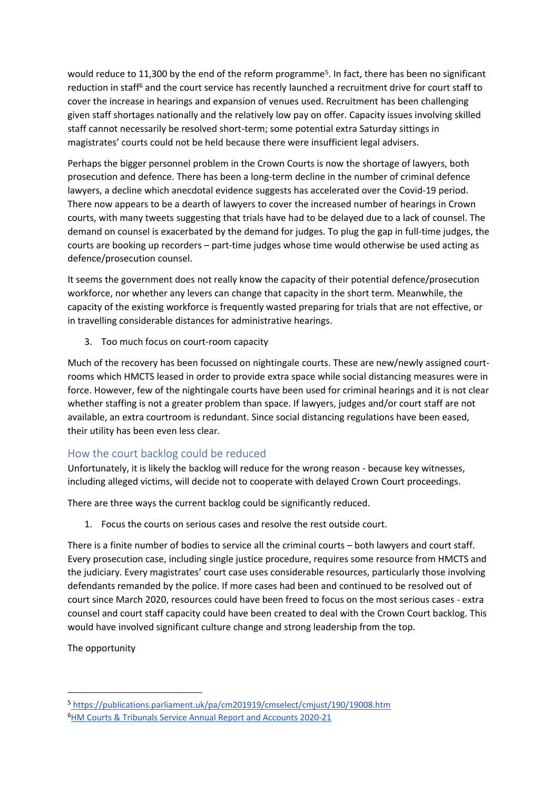would reduce to 11,300 by the end of the reform programme<sup>5</sup>. In fact, there has been no significant reduction in staff<sup>6</sup> and the court service has recently launched a recruitment drive for court staff to cover the increase in hearings and expansion of venues used. Recruitment has been challenging given staff shortages nationally and the relatively low pay on offer. Capacity issues involving skilled staff cannot necessarily be resolved short-term; some potential extra Saturday sittings in magistrates' courts could not be held because there were insufficient legal advisers.

Perhaps the bigger personnel problem in the Crown Courts is now the shortage of lawyers, both prosecution and defence. There has been a long-term decline in the number of criminal defence lawyers, a decline which anecdotal evidence suggests has accelerated over the Covid-19 period. There now appears to be a dearth of lawyers to cover the increased number of hearings in Crown courts, with many tweets suggesting that trials have had to be delayed due to a lack of counsel. The demand on counsel is exacerbated by the demand for judges. To plug the gap in full-time judges, the courts are booking up recorders – part-time judges whose time would otherwise be used acting as defence/prosecution counsel.

It seems the government does not really know the capacity of their potential defence/prosecution workforce, nor whether any levers can change that capacity in the short term. Meanwhile, the capacity of the existing workforce is frequently wasted preparing for trials that are not effective, or in travelling considerable distances for administrative hearings.

3. Too much focus on court-room capacity

Much of the recovery has been focussed on nightingale courts. These are new/newly assigned courtrooms which HMCTS leased in order to provide extra space while social distancing measures were in force. However, few of the nightingale courts have been used for criminal hearings and it is not clear whether staffing is not a greater problem than space. If lawyers, judges and/or court staff are not available, an extra courtroom is redundant. Since social distancing regulations have been eased, their utility has been even less clear.

#### How the court backlog could be reduced

Unfortunately, it is likely the backlog will reduce for the wrong reason - because key witnesses, including alleged victims, will decide not to cooperate with delayed Crown Court proceedings.

There are three ways the current backlog could be significantly reduced.

1. Focus the courts on serious cases and resolve the rest outside court.

There is a finite number of bodies to service all the criminal courts – both lawyers and court staff. Every prosecution case, including single justice procedure, requires some resource from HMCTS and the judiciary. Every magistrates' court case uses considerable resources, particularly those involving defendants remanded by the police. If more cases had been and continued to be resolved out of court since March 2020, resources could have been freed to focus on the most serious cases - extra counsel and court staff capacity could have been created to deal with the Crown Court backlog. This would have involved significant culture change and strong leadership from the top.

The opportunity

<sup>5</sup> <https://publications.parliament.uk/pa/cm201919/cmselect/cmjust/190/19008.htm> <sup>6</sup>[HM](https://assets.publishing.service.gov.uk/government/uploads/system/uploads/attachment_data/file/1002585/HMCTS_Annual_Report_and_Accounts_2020-21.pdf) [Courts](https://assets.publishing.service.gov.uk/government/uploads/system/uploads/attachment_data/file/1002585/HMCTS_Annual_Report_and_Accounts_2020-21.pdf) [&](https://assets.publishing.service.gov.uk/government/uploads/system/uploads/attachment_data/file/1002585/HMCTS_Annual_Report_and_Accounts_2020-21.pdf) [Tribunals](https://assets.publishing.service.gov.uk/government/uploads/system/uploads/attachment_data/file/1002585/HMCTS_Annual_Report_and_Accounts_2020-21.pdf) [Service](https://assets.publishing.service.gov.uk/government/uploads/system/uploads/attachment_data/file/1002585/HMCTS_Annual_Report_and_Accounts_2020-21.pdf) [Annual](https://assets.publishing.service.gov.uk/government/uploads/system/uploads/attachment_data/file/1002585/HMCTS_Annual_Report_and_Accounts_2020-21.pdf) [Report](https://assets.publishing.service.gov.uk/government/uploads/system/uploads/attachment_data/file/1002585/HMCTS_Annual_Report_and_Accounts_2020-21.pdf) [and](https://assets.publishing.service.gov.uk/government/uploads/system/uploads/attachment_data/file/1002585/HMCTS_Annual_Report_and_Accounts_2020-21.pdf) [Accounts](https://assets.publishing.service.gov.uk/government/uploads/system/uploads/attachment_data/file/1002585/HMCTS_Annual_Report_and_Accounts_2020-21.pdf) [2020-21](https://assets.publishing.service.gov.uk/government/uploads/system/uploads/attachment_data/file/1002585/HMCTS_Annual_Report_and_Accounts_2020-21.pdf)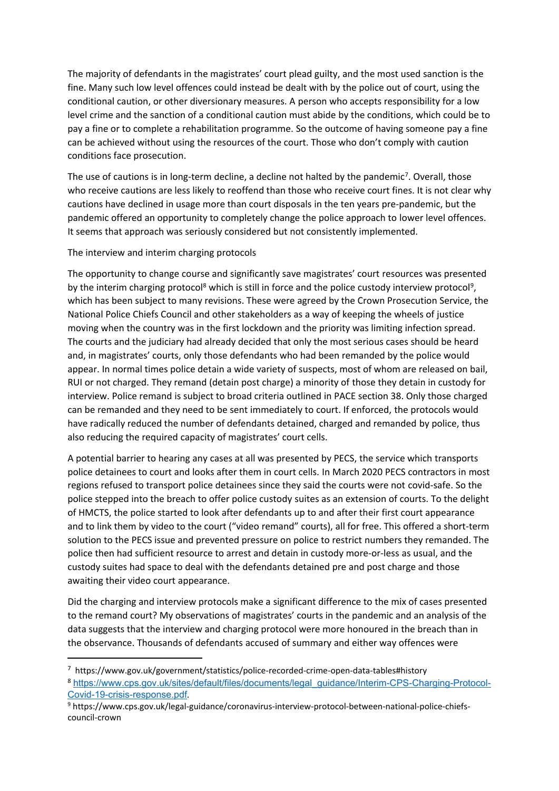The majority of defendants in the magistrates' court plead guilty, and the most used sanction is the fine. Many such low level offences could instead be dealt with by the police out of court, using the conditional caution, or other diversionary measures. A person who accepts responsibility for a low level crime and the sanction of a conditional caution must abide by the conditions, which could be to pay a fine or to complete a rehabilitation programme. So the outcome of having someone pay a fine can be achieved without using the resources of the court. Those who don't comply with caution conditions face prosecution.

The use of cautions is in long-term decline, a decline not halted by the pandemic<sup>7</sup>. Overall, those who receive cautions are less likely to reoffend than those who receive court fines. It is not clear why cautions have declined in usage more than court disposals in the ten years pre-pandemic, but the pandemic offered an opportunity to completely change the police approach to lower level offences. It seems that approach was seriously considered but not consistently implemented.

The interview and interim charging protocols

The opportunity to change course and significantly save magistrates' court resources was presented by the interim charging protocol<sup>8</sup> which is still in force and the police custody interview protocol<sup>9</sup>, which has been subject to many revisions. These were agreed by the Crown Prosecution Service, the National Police Chiefs Council and other stakeholders as a way of keeping the wheels of justice moving when the country was in the first lockdown and the priority was limiting infection spread. The courts and the judiciary had already decided that only the most serious cases should be heard and, in magistrates' courts, only those defendants who had been remanded by the police would appear. In normal times police detain a wide variety of suspects, most of whom are released on bail, RUI or not charged. They remand (detain post charge) a minority of those they detain in custody for interview. Police remand is subject to broad criteria outlined in PACE section 38. Only those charged can be remanded and they need to be sent immediately to court. If enforced, the protocols would have radically reduced the number of defendants detained, charged and remanded by police, thus also reducing the required capacity of magistrates' court cells.

A potential barrier to hearing any cases at all was presented by PECS, the service which transports police detainees to court and looks after them in court cells. In March 2020 PECS contractors in most regions refused to transport police detainees since they said the courts were not covid-safe. So the police stepped into the breach to offer police custody suites as an extension of courts. To the delight of HMCTS, the police started to look after defendants up to and after their first court appearance and to link them by video to the court ("video remand" courts), all for free. This offered a short-term solution to the PECS issue and prevented pressure on police to restrict numbers they remanded. The police then had sufficient resource to arrest and detain in custody more-or-less as usual, and the custody suites had space to deal with the defendants detained pre and post charge and those awaiting their video court appearance.

Did the charging and interview protocols make a significant difference to the mix of cases presented to the remand court? My observations of magistrates' courts in the pandemic and an analysis of the data suggests that the interview and charging protocol were more honoured in the breach than in the observance. Thousands of defendants accused of summary and either way offences were

<sup>7</sup> https://www.gov.uk/government/statistics/police-recorded-crime-open-data-tables#history <sup>8</sup> [https://www.cps.gov.uk/sites/default/files/documents/legal\\_guidance/Interim-CPS-Charging-Protocol-](https://www.cps.gov.uk/sites/default/files/documents/legal_guidance/Interim-CPS-Charging-Protocol-Covid-19-crisis-response.pdf)[Covid-19-crisis-response.pdf](https://www.cps.gov.uk/sites/default/files/documents/legal_guidance/Interim-CPS-Charging-Protocol-Covid-19-crisis-response.pdf).

<sup>9</sup> https://www.cps.gov.uk/legal-guidance/coronavirus-interview-protocol-between-national-police-chiefscouncil-crown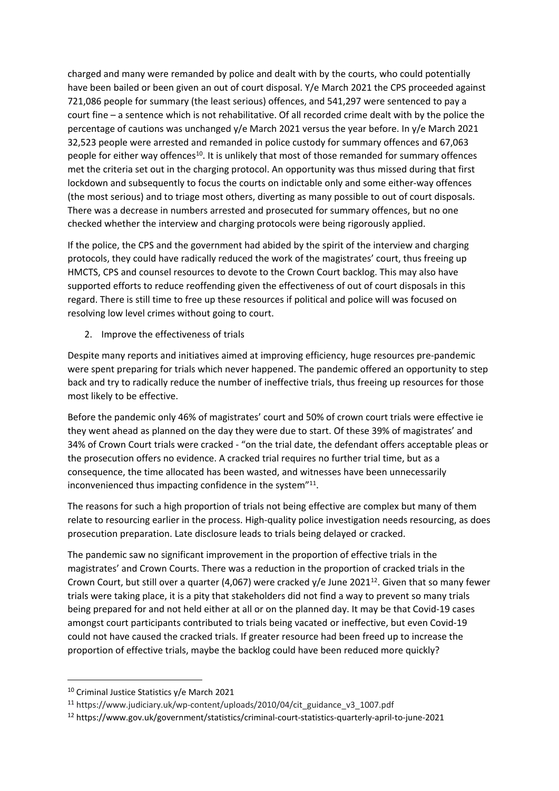charged and many were remanded by police and dealt with by the courts, who could potentially have been bailed or been given an out of court disposal. Y/e March 2021 the CPS proceeded against 721,086 people for summary (the least serious) offences, and 541,297 were sentenced to pay a court fine – a sentence which is not rehabilitative. Of all recorded crime dealt with by the police the percentage of cautions was unchanged y/e March 2021 versus the year before. In y/e March 2021 32,523 people were arrested and remanded in police custody for summary offences and 67,063 people for either way offences<sup>10</sup>. It is unlikely that most of those remanded for summary offences met the criteria set out in the charging protocol. An opportunity was thus missed during that first lockdown and subsequently to focus the courts on indictable only and some either-way offences (the most serious) and to triage most others, diverting as many possible to out of court disposals. There was a decrease in numbers arrested and prosecuted for summary offences, but no one checked whether the interview and charging protocols were being rigorously applied.

If the police, the CPS and the government had abided by the spirit of the interview and charging protocols, they could have radically reduced the work of the magistrates' court, thus freeing up HMCTS, CPS and counsel resources to devote to the Crown Court backlog. This may also have supported efforts to reduce reoffending given the effectiveness of out of court disposals in this regard. There is still time to free up these resources if political and police will was focused on resolving low level crimes without going to court.

2. Improve the effectiveness of trials

Despite many reports and initiatives aimed at improving efficiency, huge resources pre-pandemic were spent preparing for trials which never happened. The pandemic offered an opportunity to step back and try to radically reduce the number of ineffective trials, thus freeing up resources for those most likely to be effective.

Before the pandemic only 46% of magistrates' court and 50% of crown court trials were effective ie they went ahead as planned on the day they were due to start. Of these 39% of magistrates' and 34% of Crown Court trials were cracked - "on the trial date, the defendant offers acceptable pleas or the prosecution offers no evidence. A cracked trial requires no further trial time, but as a consequence, the time allocated has been wasted, and witnesses have been unnecessarily inconvenienced thus impacting confidence in the system"<sup>11</sup>.

The reasons for such a high proportion of trials not being effective are complex but many of them relate to resourcing earlier in the process. High-quality police investigation needs resourcing, as does prosecution preparation. Late disclosure leads to trials being delayed or cracked.

The pandemic saw no significant improvement in the proportion of effective trials in the magistrates' and Crown Courts. There was a reduction in the proportion of cracked trials in the Crown Court, but still over a quarter (4,067) were cracked y/e June 2021<sup>12</sup>. Given that so many fewer trials were taking place, it is a pity that stakeholders did not find a way to prevent so many trials being prepared for and not held either at all or on the planned day. It may be that Covid-19 cases amongst court participants contributed to trials being vacated or ineffective, but even Covid-19 could not have caused the cracked trials. If greater resource had been freed up to increase the proportion of effective trials, maybe the backlog could have been reduced more quickly?

<sup>10</sup> Criminal Justice Statistics y/e March 2021

<sup>11</sup> https://www.judiciary.uk/wp-content/uploads/2010/04/cit\_guidance\_v3\_1007.pdf

<sup>12</sup> https://www.gov.uk/government/statistics/criminal-court-statistics-quarterly-april-to-june-2021